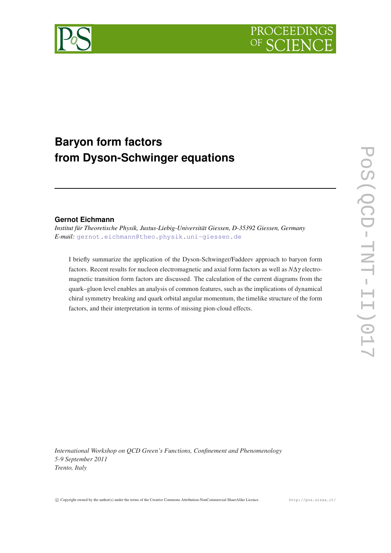

# **Baryon form factors from Dyson-Schwinger equations**

## **Gernot Eichmann**

*Institut für Theoretische Physik, Justus-Liebig-Universität Giessen, D-35392 Giessen, Germany E-mail:* [gernot.eichmann@theo.physik.uni-giessen.de](mailto:gernot.eichmann@theo.physik.uni-giessen.de)

I briefly summarize the application of the Dyson-Schwinger/Faddeev approach to baryon form factors. Recent results for nucleon electromagnetic and axial form factors as well as *N*∆γ electromagnetic transition form factors are discussed. The calculation of the current diagrams from the quark–gluon level enables an analysis of common features, such as the implications of dynamical chiral symmetry breaking and quark orbital angular momentum, the timelike structure of the form factors, and their interpretation in terms of missing pion-cloud effects.

*International Workshop on QCD Green's Functions, Confinement and Phenomenology 5-9 September 2011 Trento, Italy*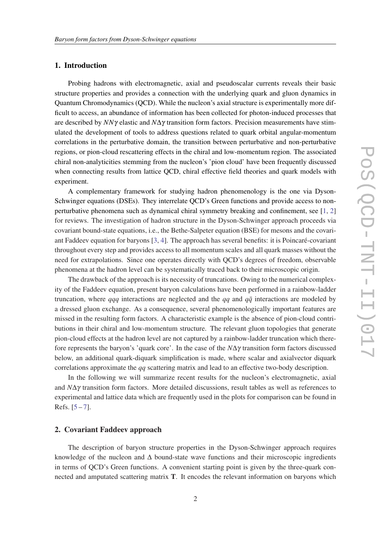### 1. Introduction

Probing hadrons with electromagnetic, axial and pseudoscalar currents reveals their basic structure properties and provides a connection with the underlying quark and gluon dynamics in Quantum Chromodynamics (QCD). While the nucleon's axial structure is experimentally more difficult to access, an abundance of information has been collected for photon-induced processes that are described by *NN*γ elastic and *N*∆γ transition form factors. Precision measurements have stimulated the development of tools to address questions related to quark orbital angular-momentum correlations in the perturbative domain, the transition between perturbative and non-perturbative regions, or pion-cloud rescattering effects in the chiral and low-momentum region. The associated chiral non-analyticities stemming from the nucleon's 'pion cloud' have been frequently discussed when connecting results from lattice QCD, chiral effective field theories and quark models with experiment.

A complementary framework for studying hadron phenomenology is the one via Dyson-Schwinger equations (DSEs). They interrelate QCD's Green functions and provide access to nonperturbative phenomena such as dynamical chiral symmetry breaking and confinement, see [[1,](#page-11-0) [2](#page-11-0)] for reviews. The investigation of hadron structure in the Dyson-Schwinger approach proceeds via covariant bound-state equations, i.e., the Bethe-Salpeter equation (BSE) for mesons and the covariant Faddeev equation for baryons [[3](#page-11-0), [4](#page-11-0)]. The approach has several benefits: it is Poincaré-covariant throughout every step and provides access to all momentum scales and all quark masses without the need for extrapolations. Since one operates directly with QCD's degrees of freedom, observable phenomena at the hadron level can be systematically traced back to their microscopic origin.

The drawback of the approach is its necessity of truncations. Owing to the numerical complexity of the Faddeev equation, present baryon calculations have been performed in a rainbow-ladder truncation, where *qqq* interactions are neglected and the *qq* and  $q\bar{q}$  interactions are modeled by a dressed gluon exchange. As a consequence, several phenomenologically important features are missed in the resulting form factors. A characteristic example is the absence of pion-cloud contributions in their chiral and low-momentum structure. The relevant gluon topologies that generate pion-cloud effects at the hadron level are not captured by a rainbow-ladder truncation which therefore represents the baryon's 'quark core'. In the case of the *N*∆γ transition form factors discussed below, an additional quark-diquark simplification is made, where scalar and axialvector diquark correlations approximate the *qq* scattering matrix and lead to an effective two-body description.

In the following we will summarize recent results for the nucleon's electromagnetic, axial and *N*∆γ transition form factors. More detailed discussions, result tables as well as references to experimental and lattice data which are frequently used in the plots for comparison can be found in Refs. [\[5](#page-11-0) – [7](#page-11-0)].

#### 2. Covariant Faddeev approach

The description of baryon structure properties in the Dyson-Schwinger approach requires knowledge of the nucleon and ∆ bound-state wave functions and their microscopic ingredients in terms of QCD's Green functions. A convenient starting point is given by the three-quark connected and amputated scattering matrix T. It encodes the relevant information on baryons which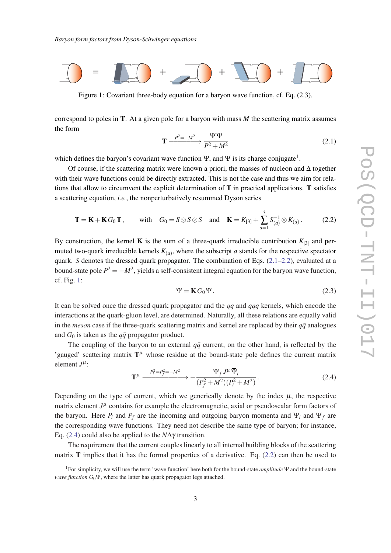<span id="page-2-0"></span>

Figure 1: Covariant three-body equation for a baryon wave function, cf. Eq. (2.3).

correspond to poles in T. At a given pole for a baryon with mass *M* the scattering matrix assumes the form

$$
\mathbf{T} \xrightarrow{P^2 = -M^2} \frac{\Psi \overline{\Psi}}{P^2 + M^2}
$$
 (2.1)

which defines the baryon's covariant wave function  $\Psi$ , and  $\overline{\Psi}$  is its charge conjugate<sup>1</sup>.

Of course, if the scattering matrix were known a priori, the masses of nucleon and ∆ together with their wave functions could be directly extracted. This is not the case and thus we aim for relations that allow to circumvent the explicit determination of  $T$  in practical applications.  $T$  satisfies a scattering equation, *i.e.*, the nonperturbatively resummed Dyson series

$$
\mathbf{T} = \mathbf{K} + \mathbf{K} G_0 \mathbf{T}, \quad \text{with} \quad G_0 = S \otimes S \otimes S \quad \text{and} \quad \mathbf{K} = K_{[3]} + \sum_{a=1}^3 S_{(a)}^{-1} \otimes K_{(a)}.
$$
 (2.2)

By construction, the kernel **K** is the sum of a three-quark irreducible contribution  $K_{3}$  and permuted two-quark irreducible kernels  $K_{(a)}$ , where the subscript *a* stands for the respective spectator quark. *S* denotes the dressed quark propagator. The combination of Eqs. (2.1–2.2), evaluated at a bound-state pole  $P^2 = -M^2$ , yields a self-consistent integral equation for the baryon wave function, cf. Fig. 1:

$$
\Psi = \mathbf{K} G_0 \Psi. \tag{2.3}
$$

It can be solved once the dressed quark propagator and the *qq* and *qqq* kernels, which encode the interactions at the quark-gluon level, are determined. Naturally, all these relations are equally valid in the *meson* case if the three-quark scattering matrix and kernel are replaced by their  $q\bar{q}$  analogues and  $G_0$  is taken as the  $q\bar{q}$  propagator product.

The coupling of the baryon to an external  $q\bar{q}$  current, on the other hand, is reflected by the 'gauged' scattering matrix  $T^{\mu}$  whose residue at the bound-state pole defines the current matrix element  $J^{\mu}$ :

$$
\mathbf{T}^{\mu} \xrightarrow{P_i^2 = P_f^2 = -M^2} -\frac{\Psi_f J^{\mu} \overline{\Psi}_i}{(P_f^2 + M^2)(P_i^2 + M^2)}.
$$
 (2.4)

Depending on the type of current, which we generically denote by the index  $\mu$ , the respective matrix element  $J^{\mu}$  contains for example the electromagnetic, axial or pseudoscalar form factors of the baryon. Here  $P_i$  and  $P_f$  are the incoming and outgoing baryon momenta and  $\Psi_i$  and  $\Psi_f$  are the corresponding wave functions. They need not describe the same type of baryon; for instance, Eq. (2.4) could also be applied to the *N*∆γ transition.

The requirement that the current couples linearly to all internal building blocks of the scattering matrix  **implies that it has the formal properties of a derivative. Eq. (2.2) can then be used to** 

<sup>1</sup>For simplicity, we will use the term 'wave function' here both for the bound-state *amplitude* Ψ and the bound-state *wave function*  $G_0\Psi$ , where the latter has quark propagator legs attached.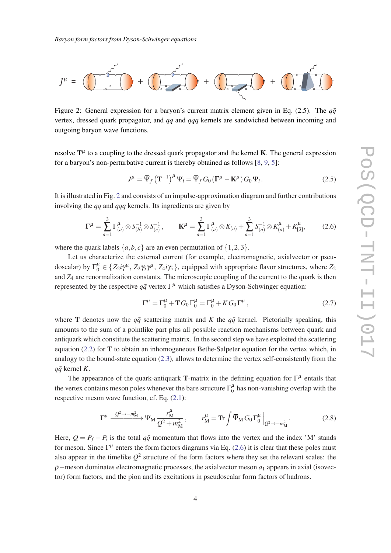<span id="page-3-0"></span>

Figure 2: General expression for a baryon's current matrix element given in Eq.  $(2.5)$ . The  $q\bar{q}$ vertex, dressed quark propagator, and *qq* and *qqq* kernels are sandwiched between incoming and outgoing baryon wave functions.

resolve  $T^{\mu}$  to a coupling to the dressed quark propagator and the kernel **K**. The general expression for a baryon's non-perturbative current is thereby obtained as follows [[8](#page-11-0), [9](#page-11-0), [5\]](#page-11-0):

$$
J^{\mu} = \overline{\Psi}_f (\mathbf{T}^{-1})^{\mu} \Psi_i = \overline{\Psi}_f G_0 (\mathbf{T}^{\mu} - \mathbf{K}^{\mu}) G_0 \Psi_i.
$$
 (2.5)

It is illustrated in Fig. 2 and consists of an impulse-approximation diagram and further contributions involving the *qq* and *qqq* kernels. Its ingredients are given by

$$
\Gamma^{\mu} = \sum_{a=1}^{3} \Gamma^{\mu}_{(a)} \otimes S^{-1}_{(b)} \otimes S^{-1}_{(c)}, \qquad \mathbf{K}^{\mu} = \sum_{a=1}^{3} \Gamma^{\mu}_{(a)} \otimes K_{(a)} + \sum_{a=1}^{3} S^{-1}_{(a)} \otimes K^{\mu}_{(a)} + K^{\mu}_{[3]}, \qquad (2.6)
$$

where the quark labels  $\{a, b, c\}$  are an even permutation of  $\{1, 2, 3\}$ .

Let us characterize the external current (for example, electromagnetic, axialvector or pseudoscalar) by  $\Gamma_0^{\mu} \in \{Z_2 i\gamma^{\mu}, Z_2 \gamma_5 \gamma^{\mu}, Z_4 i\gamma_5\}$ , equipped with appropriate flavor structures, where  $Z_2$ and *Z*<sub>4</sub> are renormalization constants. The microscopic coupling of the current to the quark is then represented by the respective  $q\bar{q}$  vertex  $\Gamma^{\mu}$  which satisfies a Dyson-Schwinger equation:

$$
\Gamma^{\mu} = \Gamma_0^{\mu} + T G_0 \Gamma_0^{\mu} = \Gamma_0^{\mu} + K G_0 \Gamma^{\mu}, \qquad (2.7)
$$

where T denotes now the  $q\bar{q}$  scattering matrix and *K* the  $q\bar{q}$  kernel. Pictorially speaking, this amounts to the sum of a pointlike part plus all possible reaction mechanisms between quark and antiquark which constitute the scattering matrix. In the second step we have exploited the scattering equation  $(2.2)$  $(2.2)$  $(2.2)$  for T to obtain an inhomogeneous Bethe-Salpeter equation for the vertex which, in analogy to the bound-state equation ([2.3](#page-2-0)), allows to determine the vertex self-consistently from the  $q\bar{q}$  kernel *K*.

The appearance of the quark-antiquark T-matrix in the defining equation for  $\Gamma^{\mu}$  entails that the vertex contains meson poles whenever the bare structure  $\Gamma_0^{\mu}$  $\frac{\mu}{0}$  has non-vanishing overlap with the respective meson wave function, cf. Eq. [\(2.1\)](#page-2-0):

$$
\Gamma^{\mu} \xrightarrow{Q^2 \to -m_M^2} \Psi_M \frac{r_M^{\mu}}{Q^2 + m_M^2}, \qquad r_M^{\mu} = \text{Tr} \int \overline{\Psi}_M G_0 \Gamma_0^{\mu} \Big|_{Q^2 \to -m_M^2} . \tag{2.8}
$$

Here,  $Q = P_f - P_i$  is the total  $q\bar{q}$  momentum that flows into the vertex and the index 'M' stands for meson. Since  $\Gamma^{\mu}$  enters the form factors diagrams via Eq. (2.6) it is clear that these poles must also appear in the timelike  $Q^2$  structure of the form factors where they set the relevant scales: the ρ−meson dominates electromagnetic processes, the axialvector meson *a*<sup>1</sup> appears in axial (isovector) form factors, and the pion and its excitations in pseudoscalar form factors of hadrons.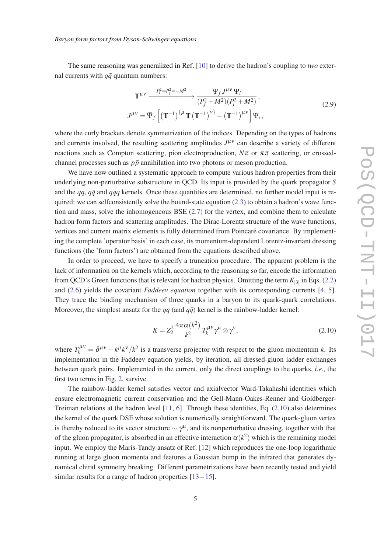<span id="page-4-0"></span>The same reasoning was generalized in Ref. [\[10](#page-11-0)] to derive the hadron's coupling to *two* external currents with  $q\bar{q}$  quantum numbers:

$$
\mathbf{T}^{\mu\nu} \xrightarrow{P_i^2 = P_f^2 = -M^2} \frac{\Psi_f J^{\mu\nu} \overline{\Psi}_i}{(P_f^2 + M^2)(P_i^2 + M^2)},
$$
  
\n
$$
J^{\mu\nu} = \overline{\Psi}_f \left[ (\mathbf{T}^{-1})^{\{\mu} \mathbf{T} (\mathbf{T}^{-1})^{\{\nu\}}} - (\mathbf{T}^{-1})^{\mu\nu} \right] \Psi_i,
$$
\n(2.9)

where the curly brackets denote symmetrization of the indices. Depending on the types of hadrons and currents involved, the resulting scattering amplitudes  $J^{\mu\nu}$  can describe a variety of different reactions such as Compton scattering, pion electroproduction,  $N\pi$  or  $\pi\pi$  scattering, or crossedchannel processes such as  $p\bar{p}$  annihilation into two photons or meson production.

We have now outlined a systematic approach to compute various hadron properties from their underlying non-perturbative substructure in QCD. Its input is provided by the quark propagator *S* and the *qq*, *qq*¯ and *qqq* kernels. Once these quantities are determined, no further model input is required: we can selfconsistently solve the bound-state equation  $(2.3)$  to obtain a hadron's wave function and mass, solve the inhomogeneous BSE [\(2.7](#page-3-0)) for the vertex, and combine them to calculate hadron form factors and scattering amplitudes. The Dirac-Lorentz structure of the wave functions, vertices and current matrix elements is fully determined from Poincaré covariance. By implementing the complete 'operator basis' in each case, its momentum-dependent Lorentz-invariant dressing functions (the 'form factors') are obtained from the equations described above.

In order to proceed, we have to specify a truncation procedure. The apparent problem is the lack of information on the kernels which, according to the reasoning so far, encode the information from QCD's Green functions that is relevant for hadron physics. Omitting the term *K*[3] in Eqs. ([2.2](#page-2-0)) and ([2.6](#page-3-0)) yields the covariant *Faddeev equation* together with its corresponding currents [\[4](#page-11-0), [5\]](#page-11-0). They trace the binding mechanism of three quarks in a baryon to its quark-quark correlations. Moreover, the simplest ansatz for the  $qq$  (and  $q\bar{q}$ ) kernel is the rainbow-ladder kernel:

$$
K = Z_2^2 \frac{4\pi\alpha(k^2)}{k^2} T_k^{\mu\nu} \gamma^\mu \otimes \gamma^\nu,
$$
\n(2.10)

where  $T_k^{\mu\nu} = \delta^{\mu\nu} - k^{\mu}k^{\nu}/k^2$  is a transverse projector with respect to the gluon momentum *k*. Its implementation in the Faddeev equation yields, by iteration, all dressed-gluon ladder exchanges between quark pairs. Implemented in the current, only the direct couplings to the quarks, *i.e.*, the first two terms in Fig. [2,](#page-3-0) survive.

The rainbow-ladder kernel satisfies vector and axialvector Ward-Takahashi identities which ensure electromagnetic current conservation and the Gell-Mann-Oakes-Renner and Goldberger-Treiman relations at the hadron level [[11](#page-11-0), [6\]](#page-11-0). Through these identities, Eq. (2.10) also determines the kernel of the quark DSE whose solution is numerically straightforward. The quark-gluon vertex is thereby reduced to its vector structure  $\sim \gamma^\mu$ , and its nonperturbative dressing, together with that of the gluon propagator, is absorbed in an effective interaction  $\alpha(k^2)$  which is the remaining model input. We employ the Maris-Tandy ansatz of Ref. [\[12](#page-11-0)] which reproduces the one-loop logarithmic running at large gluon momenta and features a Gaussian bump in the infrared that generates dynamical chiral symmetry breaking. Different parametrizations have been recently tested and yield similar results for a range of hadron properties  $[13 - 15]$  $[13 - 15]$  $[13 - 15]$  $[13 - 15]$ .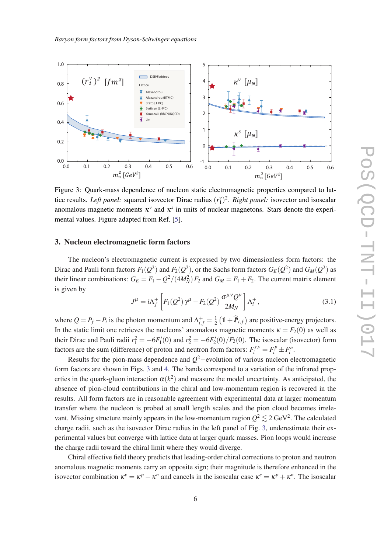

anomalous magnetic moments  $\kappa^v$  and  $\kappa^s$  in units of nuclear magnetons. Stars denote the experi-Figure 3: Quark-mass dependence of nucleon static electromagnetic properties compared to lattice results. *Left panel:* squared isovector Dirac radius  $(r_1^{\nu})^2$ . *Right panel:* isovector and isoscalar mental values. Figure adapted from Ref. [\[5\]](#page-11-0).

#### $\overline{a}$ 3. Nucleon electromagnetic form factors

is given by Dirac and Pauli form factors  $F_1(Q^2)$  and  $F_2(Q^2)$ , or the Sachs form factors  $G_E(Q^2)$  and  $G_M(Q^2)$  as their linear combinations:  $G_E = F_1 - Q^2/(4M_N^2) F_2$  and  $G_M = F_1 + F_2$ . The current matrix element  $\alpha$  s given by  $\alpha$  or  $\alpha$ . The nucleon's electromagnetic current is expressed by two dimensionless form factors: the

$$
J^{\mu} = i\Lambda_f^+ \left[ F_1(Q^2) \gamma^{\mu} - F_2(Q^2) \frac{\sigma^{\mu\nu} Q^{\nu}}{2M_N} \right] \Lambda_i^+, \tag{3.1}
$$

where  $Q = P_f - P_i$  is the photon momentum and  $\Lambda_{i,f}^+ = \frac{1}{2}$  $\frac{1}{2}$  (1+ $\hat{P}_{i,f}$ ) are positive-energy projectors. In the static limit one retrieves the nucleons' anomalous magnetic moments  $\kappa = F_2(0)$  as well as their Dirac and Pauli radii  $r_1^2 = -6F_1'(0)$  and  $r_2^2 = -6F_2'(0)/F_2(0)$ . The isoscalar (isovector) form factors are the sum (difference) of proton and neutron form factors:  $F_i^{s,v} = F_i^p \pm F_i^n$ .

Results for the pion-mass dependence and *Q* <sup>2</sup>−evolution of various nucleon electromagnetic form factors are shown in Figs. 3 and [4.](#page-6-0) The bands correspond to a variation of the infrared properties in the quark-gluon interaction  $\alpha(k^2)$  and measure the model uncertainty. As anticipated, the absence of pion-cloud contributions in the chiral and low-momentum region is recovered in the results. All form factors are in reasonable agreement with experimental data at larger momentum transfer where the nucleon is probed at small length scales and the pion cloud becomes irrelevant. Missing structure mainly appears in the low-momentum region  $Q^2 \lesssim 2 \text{ GeV}^2$ . The calculated charge radii, such as the isovector Dirac radius in the left panel of Fig. 3, underestimate their experimental values but converge with lattice data at larger quark masses. Pion loops would increase the charge radii toward the chiral limit where they would diverge.

Chiral effective field theory predicts that leading-order chiral corrections to proton and neutron anomalous magnetic moments carry an opposite sign; their magnitude is therefore enhanced in the isovector combination  $\kappa^v = \kappa^p - \kappa^n$  and cancels in the isoscalar case  $\kappa^s = \kappa^p + \kappa^n$ . The isoscalar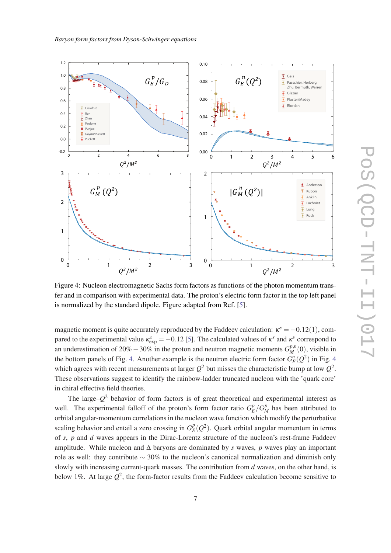<span id="page-6-0"></span>

Figure 4: Nucleon electromagnetic Sachs form factors as functions of the photon momentum transfer and in comparison with experimental data. The proton's electric form factor in the top left panel is normalized by the standard dipole. Figure adapted from Ref. [[5](#page-11-0)].

magnetic moment is quite accurately reproduced by the Faddeev calculation:  $\kappa^s = -0.12(1)$ , compared to the experimental value  $\kappa_{\exp}^s = -0.12$  [[5](#page-11-0)]. The calculated values of  $\kappa^s$  and  $\kappa^v$  correspond to an underestimation of 20% − 30% in the proton and neutron magnetic moments  $G_M^{p,n}(0)$ , visible in the bottom panels of Fig. 4. Another example is the neutron electric form factor  $G_E^n(Q^2)$  in Fig. 4 which agrees with recent measurements at larger  $Q^2$  but misses the characteristic bump at low  $Q^2$ . These observations suggest to identify the rainbow-ladder truncated nucleon with the 'quark core' in chiral effective field theories.

The large–*Q* <sup>2</sup> behavior of form factors is of great theoretical and experimental interest as well. The experimental falloff of the proton's form factor ratio  $G_F^p$  $\frac{p}{E}/G_M^p$  has been attributed to orbital angular-momentum correlations in the nucleon wave function which modify the perturbative scaling behavior and entail a zero crossing in  $G_F^p$  $E(E_L^p(Q^2))$ . Quark orbital angular momentum in terms of *s*, *p* and *d* waves appears in the Dirac-Lorentz structure of the nucleon's rest-frame Faddeev amplitude. While nucleon and ∆ baryons are dominated by *s* waves, *p* waves play an important role as well: they contribute ∼ 30% to the nucleon's canonical normalization and diminish only slowly with increasing current-quark masses. The contribution from *d* waves, on the other hand, is below 1%. At large  $Q^2$ , the form-factor results from the Faddeev calculation become sensitive to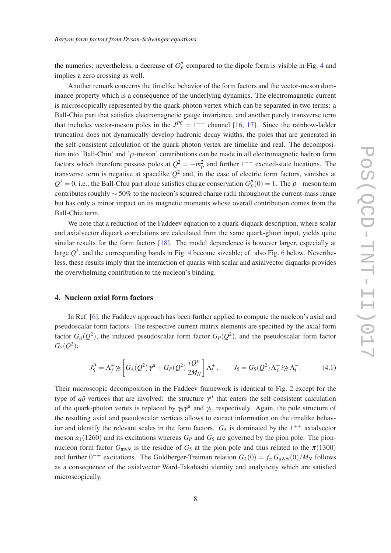the numerics; nevertheless, a decrease of  $G_F^p$  $E$ <sup> $p$ </sup> compared to the dipole form is visible in Fig. [4](#page-6-0) and implies a zero crossing as well.

Another remark concerns the timelike behavior of the form factors and the vector-meson dominance property which is a consequence of the underlying dynamics. The electromagnetic current is microscopically represented by the quark-photon vertex which can be separated in two terms: a Ball-Chiu part that satisfies electromagnetic gauge invariance, and another purely transverse term that includes vector-meson poles in the  $J^{PC} = 1^{--}$  channel [\[16,](#page-11-0) [17\]](#page-11-0). Since the rainbow-ladder truncation does not dynamically develop hadronic decay widths, the poles that are generated in the self-consistent calculation of the quark-photon vertex are timelike and real. The decomposition into 'Ball-Chiu' and ' $\rho$ -meson' contributions can be made in all electromagnetic hadron form factors which therefore possess poles at  $Q^2 = -m_\rho^2$  and further 1<sup>--</sup> excited-state locations. The transverse term is negative at spacelike  $Q^2$  and, in the case of electric form factors, vanishes at  $Q^2 = 0$ , i.e., the Ball-Chiu part alone satisfies charge conservation  $G_F^p$  $E_P^p(0) = 1$ . The  $\rho$  – meson term contributes roughly ∼ 50% to the nucleon's squared charge radii throughout the current-mass range but has only a minor impact on its magnetic moments whose overall contribution comes from the Ball-Chiu term.

We note that a reduction of the Faddeev equation to a quark-diquark description, where scalar and axialvector diquark correlations are calculated from the same quark-gluon input, yields quite similar results for the form factors [\[18](#page-11-0)]. The model dependence is however larger, especially at large  $Q^2$ , and the corresponding bands in Fig. [4](#page-6-0) become sizeable; cf. also Fig. [6](#page-9-0) below. Nevertheless, these results imply that the interaction of quarks with scalar and axialvector diquarks provides the overwhelming contribution to the nucleon's binding.

#### 4. Nucleon axial form factors

In Ref. [\[6\]](#page-11-0), the Faddeev approach has been further applied to compute the nucleon's axial and pseudoscalar form factors. The respective current matrix elements are specified by the axial form factor  $G_A(Q^2)$ , the induced pseudoscalar form factor  $G_P(Q^2)$ , and the pseudoscalar form factor  $G_5(Q^2)$ :

$$
J_5^{\mu} = \Lambda_f^+ \gamma_5 \left[ G_A(Q^2) \gamma^{\mu} + G_P(Q^2) \frac{i Q^{\mu}}{2 M_N} \right] \Lambda_i^+, \qquad J_5 = G_5(Q^2) \Lambda_f^+ i \gamma_5 \Lambda_i^+.
$$
 (4.1)

Their microscopic decomposition in the Faddeev framework is identical to Fig. [2](#page-3-0) except for the type of  $q\bar{q}$  vertices that are involved: the structure  $\gamma^{\mu}$  that enters the self-consistent calculation of the quark-photon vertex is replaced by  $\gamma_5 \gamma^{\mu}$  and  $\gamma_5$ , respectively. Again, the pole structure of the resulting axial and pseudoscalar vertices allows to extract information on the timelike behavior and identify the relevant scales in the form factors.  $G_A$  is dominated by the  $1^{++}$  axialvector meson  $a_1(1260)$  and its excitations whereas  $G_P$  and  $G_5$  are governed by the pion pole. The pionnucleon form factor  $G_{\pi NN}$  is the residue of  $G_5$  at the pion pole and thus related to the  $\pi(1300)$ and further  $0^{-+}$  excitations. The Goldberger-Treiman relation  $G_A(0) = f_{\pi} G_{\pi NN}(0)/M_N$  follows as a consequence of the axialvector Ward-Takahashi identity and analyticity which are satisfied microscopically.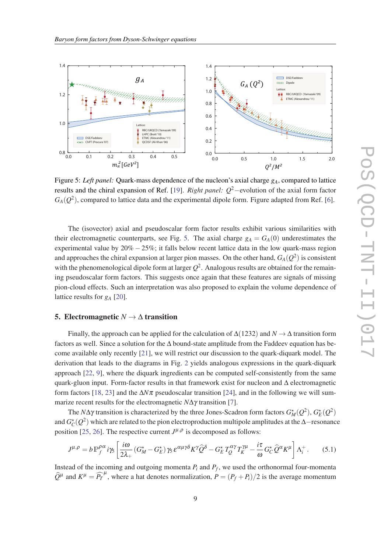<span id="page-8-0"></span>

Figure 5: *Left panel:* Quark-mass dependence of the nucleon's axial charge *gA*, compared to lattice results and the chiral expansion of Ref. [\[19](#page-11-0)]. *Right panel: Q*2−evolution of the axial form factor  $G_A(Q^2)$ , compared to lattice data and the experimental dipole form. Figure adapted from Ref. [\[6\]](#page-11-0).

The (isovector) axial and pseudoscalar form factor results exhibit various similarities with their electromagnetic counterparts, see Fig. 5. The axial charge  $g_A = G_A(0)$  underestimates the experimental value by 20% −25%; it falls below recent lattice data in the low quark-mass region and approaches the chiral expansion at larger pion masses. On the other hand,  $G_A(Q^2)$  is consistent with the phenomenological dipole form at larger  $Q^2$ . Analogous results are obtained for the remaining pseudoscalar form factors. This suggests once again that these features are signals of missing pion-cloud effects. Such an interpretation was also proposed to explain the volume dependence of lattice results for *g<sup>A</sup>* [[20](#page-11-0)].

#### 5. Electromagnetic  $N \rightarrow \Delta$  transition

Finally, the approach can be applied for the calculation of ∆(1232) and *N* → ∆ transition form factors as well. Since a solution for the ∆ bound-state amplitude from the Faddeev equation has become available only recently [\[21](#page-11-0)], we will restrict our discussion to the quark-diquark model. The derivation that leads to the diagrams in Fig. [2](#page-3-0) yields analogous expressions in the quark-diquark approach [\[22,](#page-11-0) [9](#page-11-0)], where the diquark ingredients can be computed self-consistently from the same quark-gluon input. Form-factor results in that framework exist for nucleon and ∆ electromagnetic form factors [\[18](#page-11-0), [23\]](#page-11-0) and the ∆*N*π pseudoscalar transition [\[24](#page-11-0)], and in the following we will summarize recent results for the electromagnetic *N*∆γ transition [[7\]](#page-11-0).

The *N*Δγ transition is characterized by the three Jones-Scadron form factors  $G_M^{\star}(Q^2)$ ,  $G_E^{\star}(Q^2)$ and  $G_C^{\star}(Q^2)$  which are related to the pion electroproduction multipole amplitudes at the ∆−resonance position [[25,](#page-11-0) [26](#page-11-0)]. The respective current  $J^{\mu,\rho}$  is decomposed as follows:

$$
J^{\mu,\rho} = b \, \mathbb{P}_{f}^{\rho\alpha} \, i\gamma_5 \left[ \frac{i\omega}{2\lambda_+} \left( G_M^{\star} - G_E^{\star} \right) \gamma_5 \, \varepsilon^{\alpha\mu\gamma\delta} K^{\gamma} \hat{Q}^{\delta} - G_E^{\star} \, T_Q^{\alpha\gamma} T_K^{\gamma\mu} - \frac{i\tau}{\omega} \, G_C^{\star} \, \hat{Q}^{\alpha} K^{\mu} \right] \Lambda_i^+ \,. \tag{5.1}
$$

Instead of the incoming and outgoing momenta  $P_i$  and  $P_f$ , we used the orthonormal four-momenta  $\hat{Q}^{\mu}$  and  $K^{\mu} = \hat{P}^{\mu}$ , where a hat denotes normalization,  $P = (P_f + P_i)/2$  is the average momentum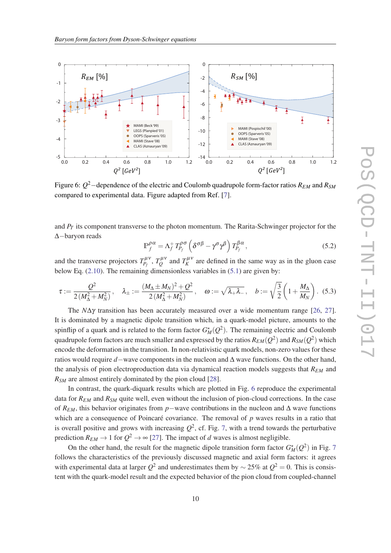<span id="page-9-0"></span>

Figure 6: *Q* <sup>2</sup>−dependence of the electric and Coulomb quadrupole form-factor ratios *REM* and *RSM* compared to experimental data. Figure adapted from Ref. [[7](#page-11-0)].

and *P<sup>T</sup>* its component transverse to the photon momentum. The Rarita-Schwinger projector for the ∆−baryon reads

$$
\mathbb{P}_{f}^{\rho\alpha} = \Lambda_f^+ T_{P_f}^{\rho\sigma} \left( \delta^{\sigma\beta} - \gamma^{\sigma} \gamma^{\beta} \right) T_{P_f}^{\beta\alpha}, \qquad (5.2)
$$

and the transverse projectors  $T_{P_f}^{\mu\nu}$ ,  $T_Q^{\mu\nu}$  $Q^{(\mu)}$  and  $T_K^{(\mu)}$  are defined in the same way as in the gluon case below Eq. ([2.10\)](#page-4-0). The remaining dimensionless variables in [\(5.1](#page-8-0)) are given by:

$$
\tau := \frac{Q^2}{2(M_{\Delta}^2 + M_N^2)}, \quad \lambda_{\pm} := \frac{(M_{\Delta} \pm M_N)^2 + Q^2}{2(M_{\Delta}^2 + M_N^2)}, \quad \omega := \sqrt{\lambda_{+} \lambda_{-}}, \quad b := \sqrt{\frac{3}{2}} \left( 1 + \frac{M_{\Delta}}{M_N} \right). \tag{5.3}
$$

The *N*∆γ transition has been accurately measured over a wide momentum range [[26,](#page-11-0) [27\]](#page-11-0). It is dominated by a magnetic dipole transition which, in a quark-model picture, amounts to the spinflip of a quark and is related to the form factor  $G_M^{\star}(Q^2)$ . The remaining electric and Coulomb quadrupole form factors are much smaller and expressed by the ratios  $R_{EM}(Q^2)$  and  $R_{SM}(Q^2)$  which encode the deformation in the transition. In non-relativistic quark models, non-zero values for these ratios would require *d*−wave components in the nucleon and ∆ wave functions. On the other hand, the analysis of pion electroproduction data via dynamical reaction models suggests that *REM* and *RSM* are almost entirely dominated by the pion cloud [\[28](#page-11-0)].

In contrast, the quark-diquark results which are plotted in Fig. 6 reproduce the experimental data for  $R_{EM}$  and  $R_{SM}$  quite well, even without the inclusion of pion-cloud corrections. In the case of *REM*, this behavior originates from *p*−wave contributions in the nucleon and ∆ wave functions which are a consequence of Poincaré covariance. The removal of *p* waves results in a ratio that is overall positive and grows with increasing  $Q^2$ , cf. Fig. [7,](#page-10-0) with a trend towards the perturbative prediction  $R_{EM} \rightarrow 1$  for  $Q^2 \rightarrow \infty$  [[27](#page-11-0)]. The impact of *d* waves is almost negligible.

On the other hand, the result for the magnetic dipole transition form factor  $G_M^{\star}(Q^2)$  in Fig. [7](#page-10-0) follows the characteristics of the previously discussed magnetic and axial form factors: it agrees with experimental data at larger  $Q^2$  and underestimates them by  $\sim$  25% at  $Q^2 = 0$ . This is consistent with the quark-model result and the expected behavior of the pion cloud from coupled-channel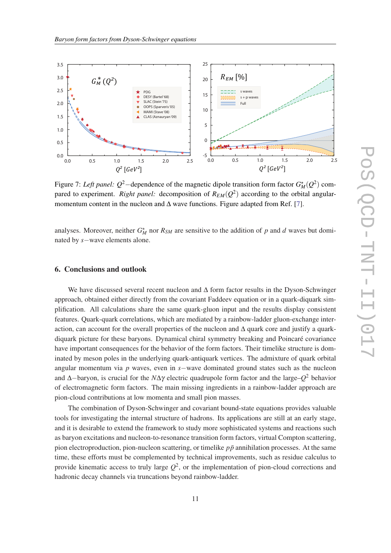<span id="page-10-0"></span>

Figure 7: *Left panel:*  $Q^2$ -dependence of the magnetic dipole transition form factor  $G_M^{\star}(Q^2)$  compared to experiment. *Right panel:* decomposition of *REM*(*Q* 2 ) according to the orbital angularmomentum content in the nucleon and  $\Delta$  wave functions. Figure adapted from Ref. [[7](#page-11-0)].

analyses. Moreover, neither  $G_M^*$  nor  $R_{SM}$  are sensitive to the addition of *p* and *d* waves but dominated by *s*−wave elements alone.

#### 6. Conclusions and outlook

We have discussed several recent nucleon and ∆ form factor results in the Dyson-Schwinger approach, obtained either directly from the covariant Faddeev equation or in a quark-diquark simplification. All calculations share the same quark-gluon input and the results display consistent features. Quark-quark correlations, which are mediated by a rainbow-ladder gluon-exchange interaction, can account for the overall properties of the nucleon and ∆ quark core and justify a quarkdiquark picture for these baryons. Dynamical chiral symmetry breaking and Poincaré covariance have important consequences for the behavior of the form factors. Their timelike structure is dominated by meson poles in the underlying quark-antiquark vertices. The admixture of quark orbital angular momentum via *p* waves, even in *s*−wave dominated ground states such as the nucleon and ∆−baryon, is crucial for the *N*∆γ electric quadrupole form factor and the large–*Q* <sup>2</sup> behavior of electromagnetic form factors. The main missing ingredients in a rainbow-ladder approach are pion-cloud contributions at low momenta and small pion masses.

The combination of Dyson-Schwinger and covariant bound-state equations provides valuable tools for investigating the internal structure of hadrons. Its applications are still at an early stage, and it is desirable to extend the framework to study more sophisticated systems and reactions such as baryon excitations and nucleon-to-resonance transition form factors, virtual Compton scattering, pion electroproduction, pion-nucleon scattering, or timelike  $p\bar{p}$  annihilation processes. At the same time, these efforts must be complemented by technical improvements, such as residue calculus to provide kinematic access to truly large  $Q^2$ , or the implementation of pion-cloud corrections and hadronic decay channels via truncations beyond rainbow-ladder.